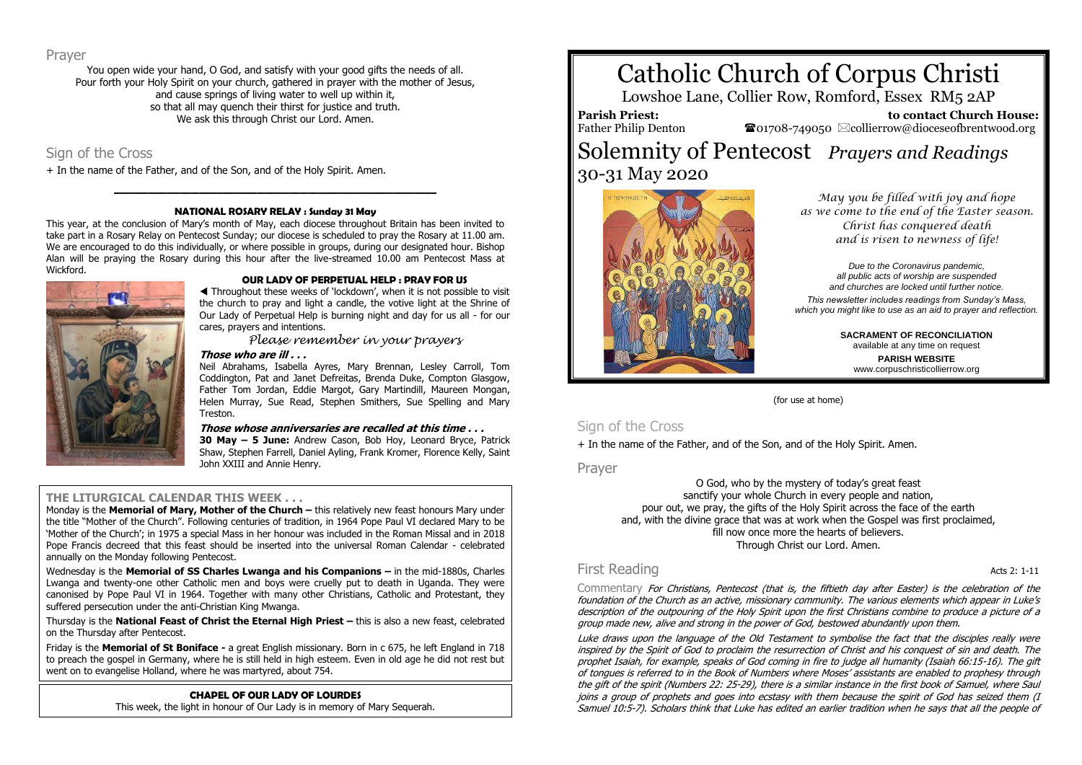Prayer

You open wide your hand, O God, and satisfy with your good gifts the needs of all. Pour forth your Holy Spirit on your church, gathered in prayer with the mother of Jesus, and cause springs of living water to well up within it, so that all may quench their thirst for justice and truth. We ask this through Christ our Lord. Amen.

# Sign of the Cross

+ In the name of the Father, and of the Son, and of the Holy Spirit. Amen.

# **\_\_\_\_\_\_\_\_\_\_\_\_\_\_\_\_\_\_\_\_\_\_\_\_\_\_\_\_\_\_\_\_\_\_\_\_\_\_\_\_\_\_\_\_\_\_\_\_\_\_\_\_\_\_\_\_\_\_\_\_\_\_\_\_\_\_\_\_ NATIONAL ROSARY RELAY : Sunday 31 May**

This year, at the conclusion of Mary's month of May, each diocese throughout Britain has been invited to take part in a Rosary Relay on Pentecost Sunday; our diocese is scheduled to pray the Rosary at 11.00 am. We are encouraged to do this individually, or where possible in groups, during our designated hour. Bishop Alan will be praying the Rosary during this hour after the live-streamed 10.00 am Pentecost Mass at Wickford.



#### **OUR LADY OF PERPETUAL HELP : PRAY FOR US**

 Throughout these weeks of 'lockdown', when it is not possible to visit the church to pray and light a candle, the votive light at the Shrine of Our Lady of Perpetual Help is burning night and day for us all - for our cares, prayers and intentions.

*Please remember in your prayers*

#### **Those who are ill . . .**

Neil Abrahams, Isabella Ayres, Mary Brennan, Lesley Carroll, Tom Coddington, Pat and Janet Defreitas, Brenda Duke, Compton Glasgow, Father Tom Jordan, Eddie Margot, Gary Martindill, Maureen Mongan, Helen Murray, Sue Read, Stephen Smithers, Sue Spelling and Mary Treston.

#### **Those whose anniversaries are recalled at this time . . .**

**30 May – 5 June:** Andrew Cason, Bob Hoy, Leonard Bryce, Patrick Shaw, Stephen Farrell, Daniel Ayling, Frank Kromer, Florence Kelly, Saint John XXIII and Annie Henry.

# **THE LITURGICAL CALENDAR THIS WEEK . . .**

Monday is the **Memorial of Mary, Mother of the Church –** this relatively new feast honours Mary under the title "Mother of the Church". Following centuries of tradition, in 1964 Pope Paul VI declared Mary to be 'Mother of the Church'; in 1975 a special Mass in her honour was included in the Roman Missal and in 2018 Pope Francis decreed that this feast should be inserted into the universal Roman Calendar - celebrated annually on the Monday following Pentecost.

Wednesday is the **Memorial of SS Charles Lwanga and his Companions –** in the mid-1880s, Charles Lwanga and twenty-one other Catholic men and boys were cruelly put to death in Uganda. They were canonised by Pope Paul VI in 1964. Together with many other Christians, Catholic and Protestant, they suffered persecution under the anti-Christian King Mwanga.

Thursday is the **National Feast of Christ the Eternal High Priest –** this is also a new feast, celebrated on the Thursday after Pentecost.

Friday is the **Memorial of St Boniface -** a great English missionary. Born in c 675, he left England in 718 to preach the gospel in Germany, where he is still held in high esteem. Even in old age he did not rest but went on to evangelise Holland, where he was martyred, about 754.

# **CHAPEL OF OUR LADY OF LOURDES**

This week, the light in honour of Our Lady is in memory of Mary Sequerah.

# Catholic Church of Corpus Christi

Lowshoe Lane, Collier Row, Romford, Essex RM5 2AP

**Parish Priest:** Father Philip Denton

 **to contact Church House:**  $\bullet$ 01708-749050  $\boxtimes$ collierrow@dioceseofbrentwood.org

# Solemnity of Pentecost *Prayers and Readings* 30-31 May 2020



*May you be filled with joy and hope as we come to the end of the Easter season. Christ has conquered death and is risen to newness of life!*

> *Due to the Coronavirus pandemic, all public acts of worship are suspended and churches are locked until further notice.*

*This newsletter includes readings from Sunday's Mass, which you might like to use as an aid to prayer and reflection.*

> **SACRAMENT OF RECONCILIATION** available at any time on request **PARISH WEBSITE** www.corpuschristicollierrow.org

(for use at home)

# Sign of the Cross

+ In the name of the Father, and of the Son, and of the Holy Spirit. Amen.

Prayer

O God, who by the mystery of today's great feast sanctify your whole Church in every people and nation, pour out, we pray, the gifts of the Holy Spirit across the face of the earth and, with the divine grace that was at work when the Gospel was first proclaimed, fill now once more the hearts of believers. Through Christ our Lord. Amen.

# First Reading **Acts 2: 1-11**

Commentary For Christians, Pentecost (that is, the fiftieth day after Easter) is the celebration of the foundation of the Church as an active, missionary community. The various elements which appear in Luke's description of the outpouring of the Holy Spirit upon the first Christians combine to produce a picture of a group made new, alive and strong in the power of God, bestowed abundantly upon them.

Luke draws upon the language of the Old Testament to symbolise the fact that the disciples really were inspired by the Spirit of God to proclaim the resurrection of Christ and his conquest of sin and death. The prophet Isaiah, for example, speaks of God coming in fire to judge all humanity (Isaiah 66:15-16). The gift of tongues is referred to in the Book of Numbers where Moses' assistants are enabled to prophesy through the gift of the spirit (Numbers 22: 25-29), there is a similar instance in the first book of Samuel, where Saul joins a group of prophets and goes into ecstasy with them because the spirit of God has seized them (I Samuel 10:5-7). Scholars think that Luke has edited an earlier tradition when he says that all the people of